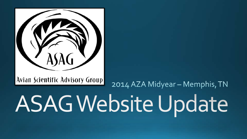

Avian Scientific Advisory Group

2014 AZA Midyear - Memphis, TN

# **ASAG Website Update**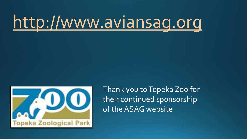## [http://www.aviansag.org](http://www.aviansag.org/)



Thank you to Topeka Zoo for their continued sponsorship of the ASAG website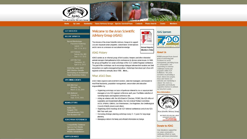

Welcome to the Avian Scientific

The mission of the Avian Scientific Advisory Group is to support

Zoo and Aquarium avian programs, conservation of bird species

**Advisory Group (ASAG)** 

#### **GET INVOLVED**

#### **RECENT UPDATES**

#### **Recent Workshops** Passerine Workshop Denver CO

- Oct. 12-14, 2012 AZA National
- Kansas City, MO Sept. 7-12, 2013
- AZA Mid-Year Charleston, SC April 6-12, 2013
- ASAG By-Laws: 2014 2013 Election Results
- Developing an Institutional **Flight Restriction Policy**

#### **UPCOMING EVENTS**

#### AZA Mid-Year Memphis, TN March 22-28, 2014

**AZA National** Orlando, FL Sept. 12-18, 2014

#### **NEWSLETTERS**

- Ratite TAG
- Penguin TAG
- **Charadriiformes TAG Kori Bustard SSP**
- 

#### **ASAG AVIAN REFERENCES**

- **Compatibility Database**
- Species Fact Sheets
- **Population Statistics Wildlife Rehabilitators**

#### and to serve as a resource on avicultural knowledge. **ASAG History**

ASAG started as an informal group of bird curators, keepers and other interested animal managers that gathered at AZA conferences to discuss avian issues. In 1988, the group put together two avian workshops at the AZA Central Regional conference. The goal of the workshops was to encourage dialogue between bird curators and field researchers on captive management practices. Workshops have been part of an AZA regional conference annually since 1988. More...

#### What ASAG Does

ASAG helps organize and assist bird curators, collection managers, and keepers to meet their husbandry, population management, conservation and education responsibilities by:

- . Organizing workshops on topics of particular interest to zoo or aguarium bird managers at one AZA regional conference each year. Facilitates selection of workshop topics and regional conference site.
- Acting as a liaison with: the AZA Board of Directors; WCMC; the AZA office of Legislative and Government affairs; the AZA Animal Welfare Committee; AAZK; SPMAG; IDMAG; Zoo Veterinarians; Zoo Registrars; the Ornithological Council of North America and others.
- · Organizing ASAG meetings at all AZA National conferences and at one AZA Mid-Year each year.
- Convening strategic planning workshops every 3 5 years for long-range planning.
- Managing a listserv for timely and efficient information exchange.



PDF.

#### **About Us**

ASAG emerged from shared goals of achieving joint excellence in avian management, providing focus on conservation, and responding to common challenges facing bird programs within AZA institutions. We pride ourselves on providing a forum where new people. ideas and visions are welcome and mentoring is valued. We work in a cooperative and mutually supportive fashion to achieve our long-term goals.

#### **More Information**



#### **Donate to ASAG**

Your donations support the zoo avian community's continuing efforts to learn. teach, and share information

#### **SUPPLIER INDEX**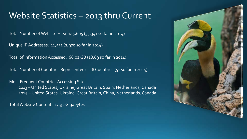### Website Statistics - 2013 thru Current

Total Number of Website Hits: 145,605 (35,341 so far in 2014)

Unique IP Addresses: 11,531 (2,970 so far in 2014)

Total of Information Accessed: 66.02 GB (18.69 so far in 2014)

Total Number of Countries Represented: 118 Countries (51 so far in 2014)

Most Frequent Countries Accessing Site: 2013 –United States, Ukraine, Great Britain, Spain, Netherlands, Canada 2014 – United States, Ukraine, Great Britain, China, Netherlands, Canada

Total Website Content: 17.92 Gigabytes

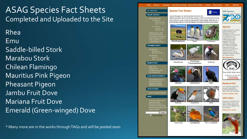ASAG Species Fact Sheets Completed and Uploaded to the Site Rhea Emu Saddle-billed Stork Marabou Stork Chilean Flamingo Mauritius Pink Pigeon Pheasant Pigeon Jambu Fruit Dove Mariana Fruit Dove Emerald (Green-winged) Dove

\* Many more are in the works through TAGs and will be posted soon

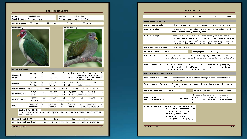| Order:<br><b>Scientific Name:</b>                                                                                                          | <b>Columbiformes</b><br>Ptilinopus Jambu            |             |                          | Family:<br><b>Common Name:</b> |                        | Columbidae<br>Jambu Fruit Dove                                                                                     |
|--------------------------------------------------------------------------------------------------------------------------------------------|-----------------------------------------------------|-------------|--------------------------|--------------------------------|------------------------|--------------------------------------------------------------------------------------------------------------------|
| AZA Management:                                                                                                                            | □<br>Green                                          | ⊠           | Vellow                   |                                | п<br>Red               | п<br><b>None</b>                                                                                                   |
| Photo (Male):                                                                                                                              |                                                     |             |                          |                                | Photo (Female):        |                                                                                                                    |
| NATURAL HISTORY:                                                                                                                           |                                                     |             |                          |                                |                        |                                                                                                                    |
|                                                                                                                                            |                                                     |             |                          |                                |                        |                                                                                                                    |
|                                                                                                                                            | Europe<br>Africa                                    | $\Box$<br>□ | Asia<br>Australia        | ⊠<br>$\Box$                    | North America<br>Other | □<br>Neotropical<br>western Java, and the countries of<br>Thailand and Malaya.                                     |
|                                                                                                                                            | Forest<br>Riverine                                  | ⊠<br>П      | Desert<br>Montane        | $\Box$<br>$\Box$               | Grassland<br>Other     | T.<br>Indonesian islands of Sumatra and<br>П<br>Coastal<br>$\mathcal{L}^{\mathcal{A}}$<br>Click here to entertext: |
|                                                                                                                                            | Diurnal<br>⊠                                        | Crepuscular | $\Box$                   | Nocturnal                      | □                      | Other<br>Click here to enter text.                                                                                 |
|                                                                                                                                            | To 70°F<br>To $30^\circ$ F                          | □<br>п      | To 60°F<br>To 20°F       | П<br>п                         | To 50°F<br>Other       | ⊠<br>To $40^{\circ}$ F<br>Click here to enter text.                                                                |
|                                                                                                                                            | To $30^\circ$ F<br>To 110°F                         | □<br>$\Box$ | To $50^\circ$ F<br>Other | п<br>Click here to entertext.  | To $70^\circ$ F        | □<br>$To 90^{\circ}F$                                                                                              |
|                                                                                                                                            | Frugivore<br>Nectivore                              | ⊠<br>П      | Carnivore<br>Omnivore    | □<br>П                         | Piscivore<br>Folivore  | □<br>⊠<br>$\Box$<br>Insectivore<br>$\Box$<br>$\Box$<br>Other (Add Below)<br>89                                     |
|                                                                                                                                            | <b>Captive Dietary Needs:</b><br>and vegetable mix. |             |                          |                                |                        | In captivity the institutions that hold this species commonly feed a softbill pellet and an assorted fruit         |
| Geographic<br>Range:<br>Habitat:<br>Circadian Cycle:<br>Cold Tolerance:<br><b>Heat Tolerance:</b><br>Diet:<br>Life Expectancy in the Wild: |                                                     | Males:      | 4-6 years                |                                |                        | Females:<br>4-6 years                                                                                              |

|                                                 |                |                                                                                                                                                                                                                                                      |           |                      | can live up to 17 years                               |                     |                                                                                                 | can live up to 17 years                                                                                                                                                                                                                       |
|-------------------------------------------------|----------------|------------------------------------------------------------------------------------------------------------------------------------------------------------------------------------------------------------------------------------------------------|-----------|----------------------|-------------------------------------------------------|---------------------|-------------------------------------------------------------------------------------------------|-----------------------------------------------------------------------------------------------------------------------------------------------------------------------------------------------------------------------------------------------|
| <b>BREEDING INFORMATION:</b>                    |                |                                                                                                                                                                                                                                                      |           |                      |                                                       |                     |                                                                                                 |                                                                                                                                                                                                                                               |
| Age at Sexual Maturity:                         |                | Males:                                                                                                                                                                                                                                               |           | As early as 6 months |                                                       | Females:            |                                                                                                 | As early as 6 months                                                                                                                                                                                                                          |
| Courtship Displays:                             |                |                                                                                                                                                                                                                                                      |           |                      | often be observed sitting closely together.           |                     | The male will be observed calling to the female, the male and female will                       |                                                                                                                                                                                                                                               |
| Nest Site Description:                          |                |                                                                                                                                                                                                                                                      |           |                      |                                                       |                     | They do not make much of a nest, they are typically given some sort of                          | platform to lay their eggs on. A 6"x 6" platform with a 1" edge will provide a<br>suitable nest site. They will nest on large palm leaves, in planter boxes and<br>even on upside down milk crates. They nest height can vary from 2' to 20'. |
| <b>Clutch Size, Egg Description:</b>            |                | They will lay only 1 egg                                                                                                                                                                                                                             |           |                      |                                                       |                     |                                                                                                 |                                                                                                                                                                                                                                               |
| <b>Incubation Period:</b>                       | 17-19 days     |                                                                                                                                                                                                                                                      |           |                      | <b>Fledgling Period:</b>                              |                     | As young as 10 days                                                                             |                                                                                                                                                                                                                                               |
| Parental Care:                                  | night.         |                                                                                                                                                                                                                                                      |           |                      |                                                       |                     | Both male and female incubate and care for the young. It has been observed that                 | males will typically incubate during the day time and the female incubates during the                                                                                                                                                         |
| Chick Development:                              |                |                                                                                                                                                                                                                                                      |           |                      | grow to its adult size and develop its adult plumage. |                     | The jambu fruit dove chick is completely altricial but develops quickly being fully             | feathered and capable of flight at 10 days old. It will take 4-6 months for the chick to                                                                                                                                                      |
| CAPTIVE HABITAT INFORMATION:                    |                |                                                                                                                                                                                                                                                      |           |                      |                                                       |                     |                                                                                                 |                                                                                                                                                                                                                                               |
| Social Structure in the Wild:                   |                | while feeding.                                                                                                                                                                                                                                       |           |                      |                                                       |                     | Forms monogamous pairs in breeding ranges but can be found in flocks                            |                                                                                                                                                                                                                                               |
| Social Structure in Captivity:                  |                | pairs can be housed.                                                                                                                                                                                                                                 |           |                      |                                                       |                     |                                                                                                 | This species can be kept in pairs or single sex flocks. In large flights multiple                                                                                                                                                             |
| Minimum Group Size:                             | $1 - 2$ pairs  |                                                                                                                                                                                                                                                      |           |                      |                                                       | Maximum Group Size: |                                                                                                 | 6 of single sex flock                                                                                                                                                                                                                         |
| Compatible in<br><b>Mixed Species Exhibits:</b> | Yes            |                                                                                                                                                                                                                                                      | Comments: |                      | mates.                                                |                     | This species does quite well in a mix species<br>exhibit. They are a very calm species and have | never been known to cause any issues with cage                                                                                                                                                                                                |
| Optimal Habitat Size:                           | them to breed. | They are a very versatile species being<br>able to utilize exhibit space from large<br>free flight exhibits to small 6'x6'<br>exhibits. They seem to breed best in<br>holding cages due to the fact that<br>there is a higher focus on trying to get |           |                      |                                                       |                     |                                                                                                 |                                                                                                                                                                                                                                               |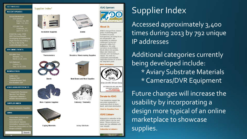#### **GET INVOLVED**

#### **RECENT UPDATES**

**Recent Workshops AZA Nationa** Kansas City, MO Sept. 7-12, 2013

> AZA Mid-Year Charleston SC April 6-12, 2013

ASAG By Laws: 2014

2013 Election Results

Developing an Institutiona

**Flight Restriction Policy** 

To Fly or Not to Fly

Lorikeet/Budgie Survey

#### **UPCOMING EVENTS**

AZA Mid-Year Memphis, TN March 22-28, 2014

**AZA National** Orlando, FL Sept. 12-18, 2014

#### **NEWSLETTERS**

Ratite TAG

- Penguin TAG **Charadriformes TAG**
- Kori Bustard SSP

#### **ASAG AVIAN REFERENCES**

**Compatibility Database** 

Species Fact Sheets **Population Statistics** 

**Wildlife Rehabilitators** 

#### **SUPPLIER INDEX**

**Avian Husbandry Supplies** 

#### **IINKS**

Association of Zoos and Aquariums (AZA) International Species Information System (ISIS) **American Association of Zo** Keepers (AAZK)



Supplier Index\*

**Incubation Supplies** 



**Thermometers** 



**Bands** 



**Nets / Capture Supplies** 



**Caging Materials** 





Scales

**Brooders / Hand-rearing Supplies** 



**Nest Boxes and Nest Supplies** 

**Falconry / Telemetry** 

**Aviary Substrate** 







#### **About Us**

ASAG emerged from shared goals of achieving joint excellence in avian management, providing focus on conservation, and responding to common challenges facing bird programs within AZA institutions. We pride ourselves on providing a forum where new people ideas and visions are velcome and mentoring is valued. We work in a cooperative and mutually supportive fashion to achieve our long-term goals.

#### **More Information**



**ACTION PLAN 2011-2013 ASSOCIATION** OF ZOOS

#### **Donate to ASAG**

Your donations support the zoo avian community's continuing efforts to learn. teach, and share information

#### **Click for Donation Form**

#### **ASAG Listserv**

Requests to subscribe to the ASAG Listserv can be sent below. Please include your name and zoo affiliation with your request.

**Subscribe to Listserv>** 

## Supplier Index

Accessed approximately 3, 400 times during 2013 by 792 unique IP addresses

Additional categories currently being developed include: \* Aviary Substrate Materials \* Cameras/DVR Equipment

Future changes will increase the usability by incorporating a design more typical of an online marketplace to showcase supplies.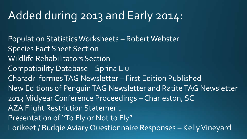## Added during 2013 and Early 2014:

Population Statistics Worksheets – Robert Webster Species Fact Sheet Section Wildlife Rehabilitators Section Compatibility Database – Sprina Liu CharadriiformesTAG Newsletter – First Edition Published New Editions of Penguin TAG Newsletter and Ratite TAG Newsletter 2013 Midyear Conference Proceedings – Charleston, SC AZA Flight Restriction Statement Presentation of "To Fly or Not to Fly" Lorikeet / Budgie Aviary Questionnaire Responses – Kelly Vineyard